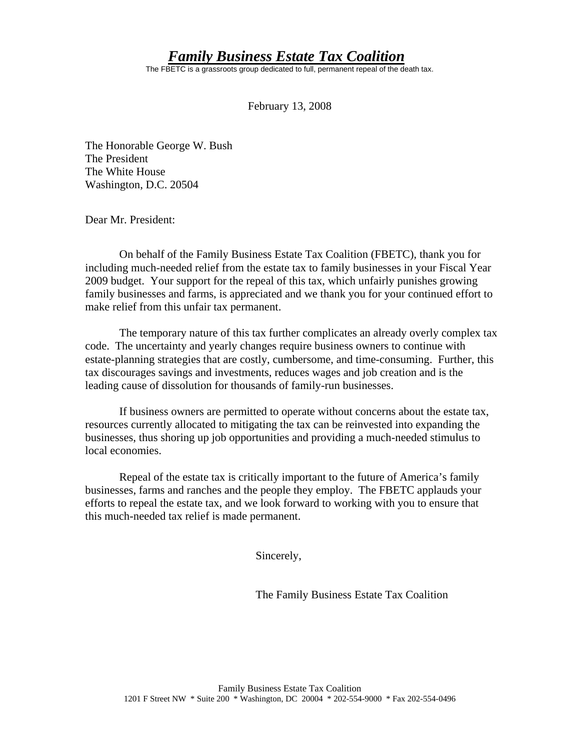## *Family Business Estate Tax Coalition*

The FBETC is a grassroots group dedicated to full, permanent repeal of the death tax.

February 13, 2008

The Honorable George W. Bush The President The White House Washington, D.C. 20504

Dear Mr. President:

On behalf of the Family Business Estate Tax Coalition (FBETC), thank you for including much-needed relief from the estate tax to family businesses in your Fiscal Year 2009 budget. Your support for the repeal of this tax, which unfairly punishes growing family businesses and farms, is appreciated and we thank you for your continued effort to make relief from this unfair tax permanent.

 The temporary nature of this tax further complicates an already overly complex tax code. The uncertainty and yearly changes require business owners to continue with estate-planning strategies that are costly, cumbersome, and time-consuming. Further, this tax discourages savings and investments, reduces wages and job creation and is the leading cause of dissolution for thousands of family-run businesses.

If business owners are permitted to operate without concerns about the estate tax, resources currently allocated to mitigating the tax can be reinvested into expanding the businesses, thus shoring up job opportunities and providing a much-needed stimulus to local economies.

Repeal of the estate tax is critically important to the future of America's family businesses, farms and ranches and the people they employ. The FBETC applauds your efforts to repeal the estate tax, and we look forward to working with you to ensure that this much-needed tax relief is made permanent.

Sincerely,

The Family Business Estate Tax Coalition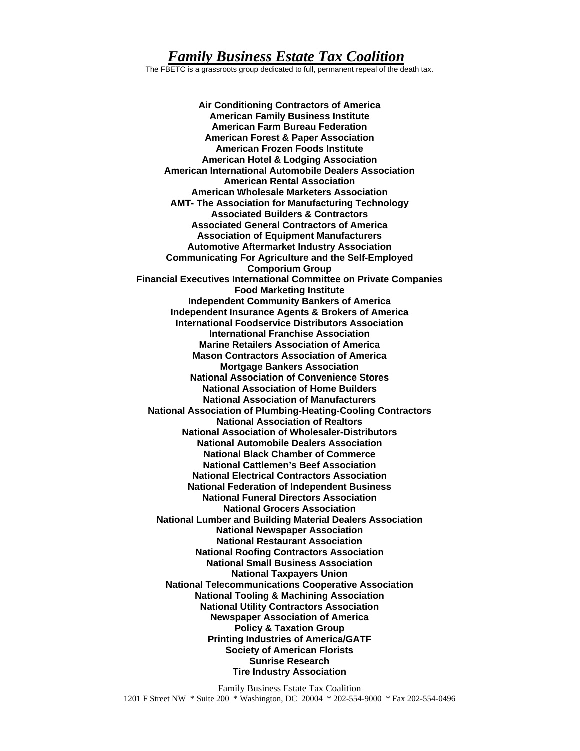## *Family Business Estate Tax Coalition*

The FBETC is a grassroots group dedicated to full, permanent repeal of the death tax.

**Air Conditioning Contractors of America American Family Business Institute American Farm Bureau Federation American Forest & Paper Association American Frozen Foods Institute American Hotel & Lodging Association American International Automobile Dealers Association American Rental Association American Wholesale Marketers Association AMT- The Association for Manufacturing Technology Associated Builders & Contractors Associated General Contractors of America Association of Equipment Manufacturers Automotive Aftermarket Industry Association Communicating For Agriculture and the Self-Employed Comporium Group Financial Executives International Committee on Private Companies Food Marketing Institute Independent Community Bankers of America Independent Insurance Agents & Brokers of America International Foodservice Distributors Association International Franchise Association Marine Retailers Association of America Mason Contractors Association of America Mortgage Bankers Association National Association of Convenience Stores National Association of Home Builders National Association of Manufacturers National Association of Plumbing-Heating-Cooling Contractors National Association of Realtors National Association of Wholesaler-Distributors National Automobile Dealers Association National Black Chamber of Commerce National Cattlemen's Beef Association National Electrical Contractors Association National Federation of Independent Business National Funeral Directors Association National Grocers Association National Lumber and Building Material Dealers Association National Newspaper Association National Restaurant Association National Roofing Contractors Association National Small Business Association National Taxpayers Union National Telecommunications Cooperative Association National Tooling & Machining Association National Utility Contractors Association Newspaper Association of America Policy & Taxation Group Printing Industries of America/GATF Society of American Florists Sunrise Research Tire Industry Association**